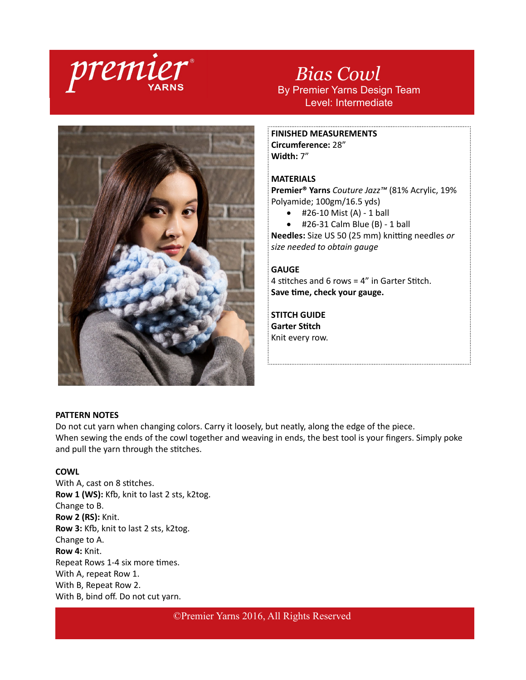

*Bias Cowl* By Premier Yarns Design Team Level: Intermediate



**FINISHED MEASUREMENTS Circumference:** 28"

**Width:** 7"

# **MATERIALS**

**Premier® Yarns** *Couture Jazz™* (81% Acrylic, 19% Polyamide; 100gm/16.5 yds)

- $\bullet$  #26-10 Mist (A) 1 ball
- $\bullet$  #26-31 Calm Blue (B) 1 ball

**Needles:** Size US 50 (25 mm) knitting needles *or size needed to obtain gauge*

### **GAUGE**

4 stitches and 6 rows = 4" in Garter Stitch. **Save time, check your gauge.**

**STITCH GUIDE Garter Stitch** Knit every row.

## **PATTERN NOTES**

Do not cut yarn when changing colors. Carry it loosely, but neatly, along the edge of the piece. When sewing the ends of the cowl together and weaving in ends, the best tool is your fingers. Simply poke and pull the yarn through the stitches.

# **COWL**

With A, cast on 8 stitches. **Row 1 (WS):** Kfb, knit to last 2 sts, k2tog. Change to B. **Row 2 (RS):** Knit. **Row 3:** Kfb, knit to last 2 sts, k2tog. Change to A. **Row 4:** Knit. Repeat Rows 1-4 six more times. With A, repeat Row 1. With B, Repeat Row 2. With B, bind off. Do not cut yarn.

©Premier Yarns 2016, All Rights Reserved